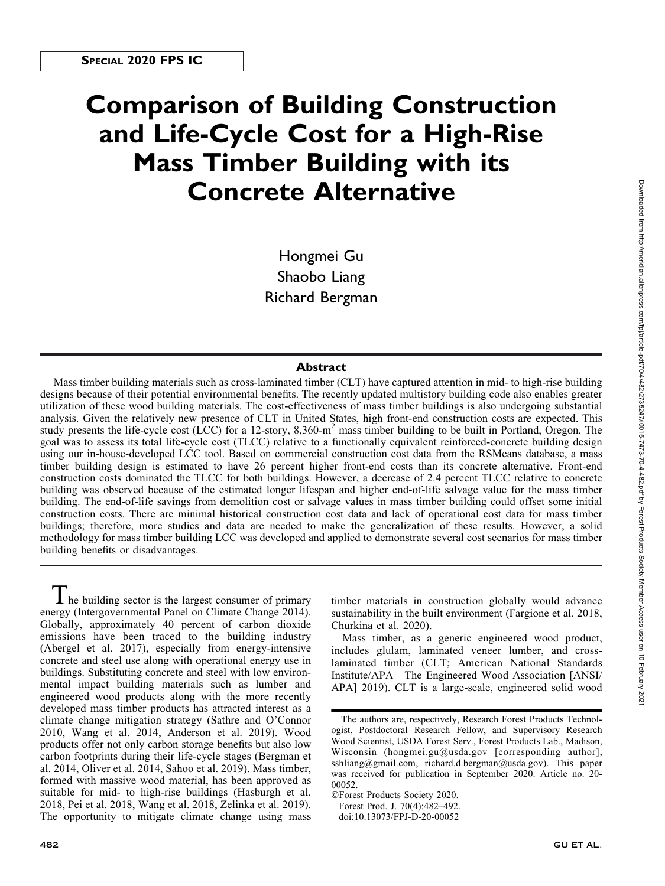# Comparison of Building Construction and Life-Cycle Cost for a High-Rise Mass Timber Building with its Concrete Alternative

Hongmei Gu Shaobo Liang Richard Bergman

## Abstract

Mass timber building materials such as cross-laminated timber (CLT) have captured attention in mid- to high-rise building designs because of their potential environmental benefits. The recently updated multistory building code also enables greater utilization of these wood building materials. The cost-effectiveness of mass timber buildings is also undergoing substantial analysis. Given the relatively new presence of CLT in United States, high front-end construction costs are expected. This study presents the life-cycle cost (LCC) for a 12-story, 8,360-m<sup>2</sup> mass timber building to be built in Portland, Oregon. The goal was to assess its total life-cycle cost (TLCC) relative to a functionally equivalent reinforced-concrete building design using our in-house-developed LCC tool. Based on commercial construction cost data from the RSMeans database, a mass timber building design is estimated to have 26 percent higher front-end costs than its concrete alternative. Front-end construction costs dominated the TLCC for both buildings. However, a decrease of 2.4 percent TLCC relative to concrete building was observed because of the estimated longer lifespan and higher end-of-life salvage value for the mass timber building. The end-of-life savings from demolition cost or salvage values in mass timber building could offset some initial construction costs. There are minimal historical construction cost data and lack of operational cost data for mass timber buildings; therefore, more studies and data are needed to make the generalization of these results. However, a solid methodology for mass timber building LCC was developed and applied to demonstrate several cost scenarios for mass timber building benefits or disadvantages.

 $\mathbf I$  he building sector is the largest consumer of primary energy (Intergovernmental Panel on Climate Change 2014). Globally, approximately 40 percent of carbon dioxide emissions have been traced to the building industry (Abergel et al. 2017), especially from energy-intensive concrete and steel use along with operational energy use in buildings. Substituting concrete and steel with low environmental impact building materials such as lumber and engineered wood products along with the more recently developed mass timber products has attracted interest as a climate change mitigation strategy (Sathre and O'Connor 2010, Wang et al. 2014, Anderson et al. 2019). Wood products offer not only carbon storage benefits but also low carbon footprints during their life-cycle stages (Bergman et al. 2014, Oliver et al. 2014, Sahoo et al. 2019). Mass timber, formed with massive wood material, has been approved as suitable for mid- to high-rise buildings (Hasburgh et al. 2018, Pei et al. 2018, Wang et al. 2018, Zelinka et al. 2019). The opportunity to mitigate climate change using mass

timber materials in construction globally would advance sustainability in the built environment (Fargione et al. 2018, Churkina et al. 2020).

Mass timber, as a generic engineered wood product, includes glulam, laminated veneer lumber, and crosslaminated timber (CLT; American National Standards Institute/APA—The Engineered Wood Association [ANSI/ APA] 2019). CLT is a large-scale, engineered solid wood

-Forest Products Society 2020. Forest Prod. J. 70(4):482–492. doi:10.13073/FPJ-D-20-00052

The authors are, respectively, Research Forest Products Technologist, Postdoctoral Research Fellow, and Supervisory Research Wood Scientist, USDA Forest Serv., Forest Products Lab., Madison, Wisconsin ([hongmei.gu@usda.gov](mailto:hongmei.gu@usda.gov) [corresponding author], [sshliang@gmail.com](mailto:sshliang@gmail.com), [richard.d.bergman@usda.gov](mailto:richard.d.bergman@usda.gov)). This paper was received for publication in September 2020. Article no. 20- 00052.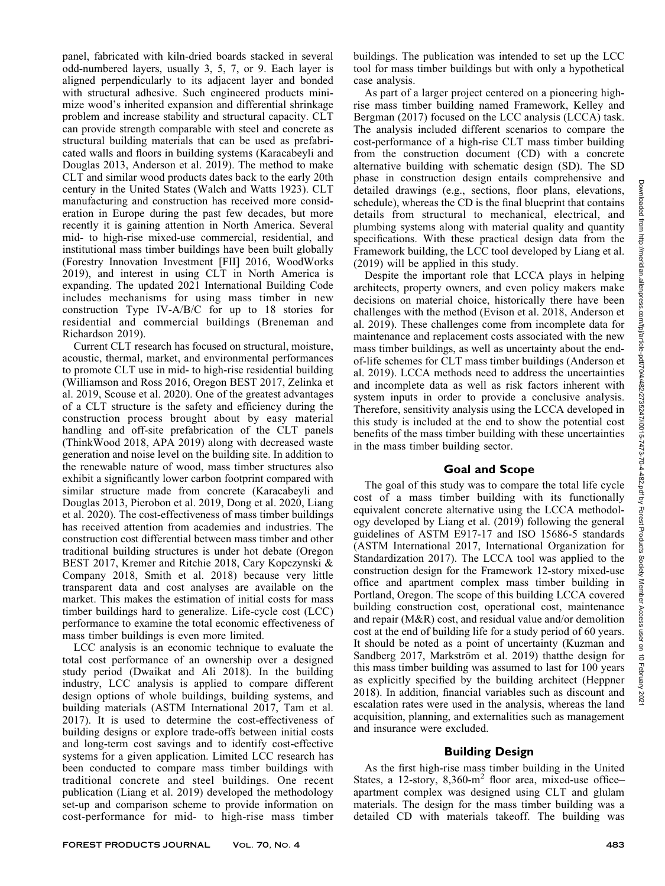panel, fabricated with kiln-dried boards stacked in several odd-numbered layers, usually 3, 5, 7, or 9. Each layer is aligned perpendicularly to its adjacent layer and bonded with structural adhesive. Such engineered products minimize wood's inherited expansion and differential shrinkage problem and increase stability and structural capacity. CLT can provide strength comparable with steel and concrete as structural building materials that can be used as prefabricated walls and floors in building systems (Karacabeyli and Douglas 2013, Anderson et al. 2019). The method to make CLT and similar wood products dates back to the early 20th century in the United States (Walch and Watts 1923). CLT manufacturing and construction has received more consideration in Europe during the past few decades, but more recently it is gaining attention in North America. Several mid- to high-rise mixed-use commercial, residential, and institutional mass timber buildings have been built globally (Forestry Innovation Investment [FII] 2016, WoodWorks 2019), and interest in using CLT in North America is expanding. The updated 2021 International Building Code includes mechanisms for using mass timber in new construction Type IV-A/B/C for up to 18 stories for residential and commercial buildings (Breneman and Richardson 2019).

Current CLT research has focused on structural, moisture, acoustic, thermal, market, and environmental performances to promote CLT use in mid- to high-rise residential building (Williamson and Ross 2016, Oregon BEST 2017, Zelinka et al. 2019, Scouse et al. 2020). One of the greatest advantages of a CLT structure is the safety and efficiency during the construction process brought about by easy material handling and off-site prefabrication of the CLT panels (ThinkWood 2018, APA 2019) along with decreased waste generation and noise level on the building site. In addition to the renewable nature of wood, mass timber structures also exhibit a significantly lower carbon footprint compared with similar structure made from concrete (Karacabeyli and Douglas 2013, Pierobon et al. 2019, Dong et al. 2020, Liang et al. 2020). The cost-effectiveness of mass timber buildings has received attention from academies and industries. The construction cost differential between mass timber and other traditional building structures is under hot debate (Oregon BEST 2017, Kremer and Ritchie 2018, Cary Kopczynski & Company 2018, Smith et al. 2018) because very little transparent data and cost analyses are available on the market. This makes the estimation of initial costs for mass timber buildings hard to generalize. Life-cycle cost (LCC) performance to examine the total economic effectiveness of mass timber buildings is even more limited.

LCC analysis is an economic technique to evaluate the total cost performance of an ownership over a designed study period (Dwaikat and Ali 2018). In the building industry, LCC analysis is applied to compare different design options of whole buildings, building systems, and building materials (ASTM International 2017, Tam et al. 2017). It is used to determine the cost-effectiveness of building designs or explore trade-offs between initial costs and long-term cost savings and to identify cost-effective systems for a given application. Limited LCC research has been conducted to compare mass timber buildings with traditional concrete and steel buildings. One recent publication (Liang et al. 2019) developed the methodology set-up and comparison scheme to provide information on cost-performance for mid- to high-rise mass timber

buildings. The publication was intended to set up the LCC tool for mass timber buildings but with only a hypothetical case analysis.

As part of a larger project centered on a pioneering highrise mass timber building named Framework, Kelley and Bergman (2017) focused on the LCC analysis (LCCA) task. The analysis included different scenarios to compare the cost-performance of a high-rise CLT mass timber building from the construction document (CD) with a concrete alternative building with schematic design (SD). The SD phase in construction design entails comprehensive and detailed drawings (e.g., sections, floor plans, elevations, schedule), whereas the CD is the final blueprint that contains details from structural to mechanical, electrical, and plumbing systems along with material quality and quantity specifications. With these practical design data from the Framework building, the LCC tool developed by Liang et al. (2019) will be applied in this study.

Despite the important role that LCCA plays in helping architects, property owners, and even policy makers make decisions on material choice, historically there have been challenges with the method (Evison et al. 2018, Anderson et al. 2019). These challenges come from incomplete data for maintenance and replacement costs associated with the new mass timber buildings, as well as uncertainty about the endof-life schemes for CLT mass timber buildings (Anderson et al. 2019). LCCA methods need to address the uncertainties and incomplete data as well as risk factors inherent with system inputs in order to provide a conclusive analysis. Therefore, sensitivity analysis using the LCCA developed in this study is included at the end to show the potential cost benefits of the mass timber building with these uncertainties in the mass timber building sector.

## Goal and Scope

The goal of this study was to compare the total life cycle cost of a mass timber building with its functionally equivalent concrete alternative using the LCCA methodology developed by Liang et al. (2019) following the general guidelines of ASTM E917-17 and ISO 15686-5 standards (ASTM International 2017, International Organization for Standardization 2017). The LCCA tool was applied to the construction design for the Framework 12-story mixed-use office and apartment complex mass timber building in Portland, Oregon. The scope of this building LCCA covered building construction cost, operational cost, maintenance and repair (M&R) cost, and residual value and/or demolition cost at the end of building life for a study period of 60 years. It should be noted as a point of uncertainty (Kuzman and Sandberg 2017, Markström et al. 2019) that the design for this mass timber building was assumed to last for 100 years as explicitly specified by the building architect (Heppner 2018). In addition, financial variables such as discount and escalation rates were used in the analysis, whereas the land acquisition, planning, and externalities such as management and insurance were excluded.

## Building Design

As the first high-rise mass timber building in the United States, a 12-story,  $8,360 \text{--} m^2$  floor area, mixed-use officeapartment complex was designed using CLT and glulam materials. The design for the mass timber building was a detailed CD with materials takeoff. The building was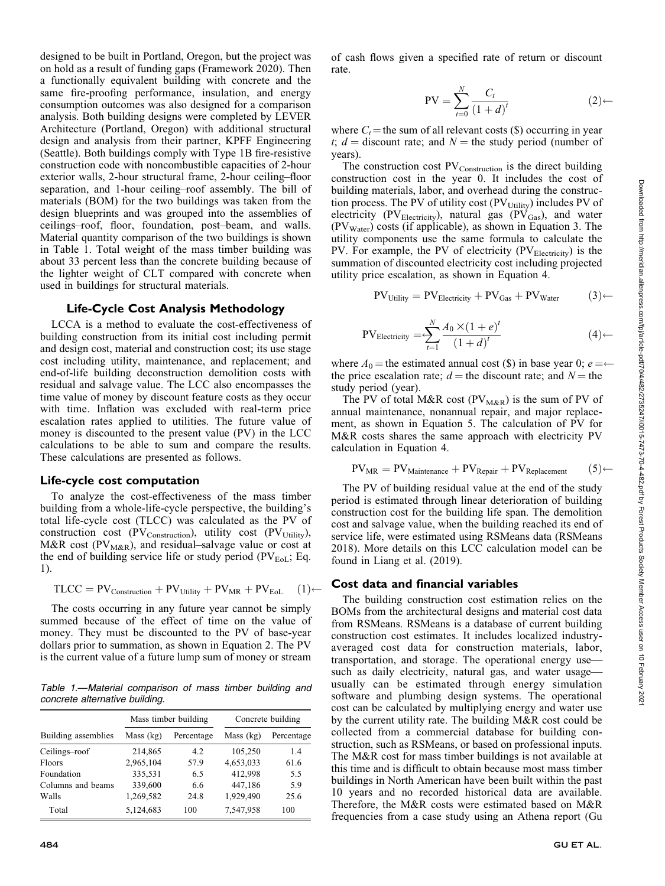designed to be built in Portland, Oregon, but the project was on hold as a result of funding gaps (Framework 2020). Then a functionally equivalent building with concrete and the same fire-proofing performance, insulation, and energy consumption outcomes was also designed for a comparison analysis. Both building designs were completed by LEVER Architecture (Portland, Oregon) with additional structural design and analysis from their partner, KPFF Engineering (Seattle). Both buildings comply with Type 1B fire-resistive construction code with noncombustible capacities of 2-hour exterior walls, 2-hour structural frame, 2-hour ceiling–floor separation, and 1-hour ceiling–roof assembly. The bill of materials (BOM) for the two buildings was taken from the design blueprints and was grouped into the assemblies of ceilings–roof, floor, foundation, post–beam, and walls. Material quantity comparison of the two buildings is shown in Table 1. Total weight of the mass timber building was about 33 percent less than the concrete building because of the lighter weight of CLT compared with concrete when used in buildings for structural materials.

#### Life-Cycle Cost Analysis Methodology

LCCA is a method to evaluate the cost-effectiveness of building construction from its initial cost including permit and design cost, material and construction cost; its use stage cost including utility, maintenance, and replacement; and end-of-life building deconstruction demolition costs with residual and salvage value. The LCC also encompasses the time value of money by discount feature costs as they occur with time. Inflation was excluded with real-term price escalation rates applied to utilities. The future value of money is discounted to the present value (PV) in the LCC calculations to be able to sum and compare the results. These calculations are presented as follows.

#### Life-cycle cost computation

To analyze the cost-effectiveness of the mass timber building from a whole-life-cycle perspective, the building's total life-cycle cost (TLCC) was calculated as the PV of construction cost (PV $_{\text{Construction}}$ ), utility cost (PV $_{\text{Utility}}$ ), M&R cost ( $PV_{M\&R}$ ), and residual–salvage value or cost at the end of building service life or study period ( $PV_{EoL}$ ; Eq. 1).

$$
TLCC = PV_{Construction} + PV_{Utility} + PV_{MR} + PV_{EoL} \quad (1)
$$

The costs occurring in any future year cannot be simply summed because of the effect of time on the value of money. They must be discounted to the PV of base-year dollars prior to summation, as shown in Equation 2. The PV is the current value of a future lump sum of money or stream

Table 1.—Material comparison of mass timber building and concrete alternative building.

|                     |           | Mass timber building | Concrete building |            |  |
|---------------------|-----------|----------------------|-------------------|------------|--|
| Building assemblies | Mass (kg) | Percentage           | Mass $(kg)$       | Percentage |  |
| Ceilings-roof       | 214,865   | 4.2                  | 105,250           | 1.4        |  |
| Floors              | 2,965,104 | 57.9                 | 4,653,033         | 61.6       |  |
| Foundation          | 335,531   | 6.5                  | 412,998           | 5.5        |  |
| Columns and beams   | 339,600   | 6.6                  | 447,186           | 5.9        |  |
| Walls               | 1,269,582 | 24.8                 | 1,929,490         | 25.6       |  |
| Total               | 5,124,683 | 100                  | 7,547,958         | 100        |  |

of cash flows given a specified rate of return or discount rate.

$$
PV = \sum_{t=0}^{N} \frac{C_t}{(1+d)^t}
$$
 (2)

where  $C_t$  = the sum of all relevant costs (\$) occurring in year t;  $d =$  discount rate; and  $N =$  the study period (number of years).

The construction cost  $PV_{Construction}$  is the direct building construction cost in the year 0. It includes the cost of building materials, labor, and overhead during the construction process. The PV of utility cost  $(PV<sub>Utility</sub>)$  includes PV of electricity (PV $_{\text{Electricity}}$ ), natural gas (PV $_{\text{Gas}}$ ), and water  $(PV<sub>Water</sub>)$  costs (if applicable), as shown in Equation 3. The utility components use the same formula to calculate the PV. For example, the PV of electricity ( $PV_{\text{Electricity}}$ ) is the summation of discounted electricity cost including projected utility price escalation, as shown in Equation 4.

$$
PV_{Utility} = PV_{Electricity} + PV_{Gas} + PV_{Water}
$$
 (3)

PV<sub>Electricity</sub> = 
$$
\sum_{t=1}^{N} \frac{A_0 \times (1+e)^t}{(1+d)^t}
$$
 (4)

where  $A_0$  = the estimated annual cost (\$) in base year 0;  $e = \leftarrow$ the price escalation rate;  $d =$  the discount rate; and  $N =$  the study period (year).

The PV of total M&R cost  $(PV_{M\&R})$  is the sum of PV of annual maintenance, nonannual repair, and major replacement, as shown in Equation 5. The calculation of PV for M&R costs shares the same approach with electricity PV calculation in Equation 4.

$$
PV_{MR} = PV_{Maintename} + PV_{Repair} + PV_{Replacement}
$$
 (5)

The PV of building residual value at the end of the study period is estimated through linear deterioration of building construction cost for the building life span. The demolition cost and salvage value, when the building reached its end of service life, were estimated using RSMeans data (RSMeans 2018). More details on this LCC calculation model can be found in Liang et al. (2019).

#### Cost data and financial variables

The building construction cost estimation relies on the BOMs from the architectural designs and material cost data from RSMeans. RSMeans is a database of current building construction cost estimates. It includes localized industryaveraged cost data for construction materials, labor, transportation, and storage. The operational energy use such as daily electricity, natural gas, and water usage usually can be estimated through energy simulation software and plumbing design systems. The operational cost can be calculated by multiplying energy and water use by the current utility rate. The building M&R cost could be collected from a commercial database for building construction, such as RSMeans, or based on professional inputs. The M&R cost for mass timber buildings is not available at this time and is difficult to obtain because most mass timber buildings in North American have been built within the past 10 years and no recorded historical data are available. Therefore, the M&R costs were estimated based on M&R frequencies from a case study using an Athena report (Gu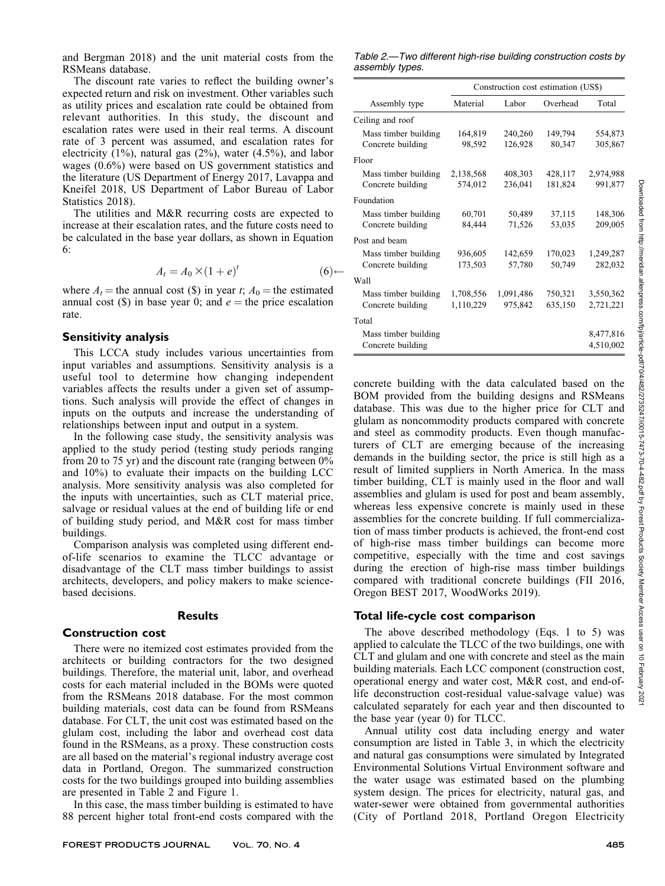and Bergman 2018) and the unit material costs from the RSMeans database.

The discount rate varies to reflect the building owner's expected return and risk on investment. Other variables such as utility prices and escalation rate could be obtained from relevant authorities. In this study, the discount and escalation rates were used in their real terms. A discount rate of 3 percent was assumed, and escalation rates for electricity (1%), natural gas (2%), water (4.5%), and labor wages (0.6%) were based on US government statistics and the literature (US Department of Energy 2017, Lavappa and Kneifel 2018, US Department of Labor Bureau of Labor Statistics 2018).

The utilities and M&R recurring costs are expected to increase at their escalation rates, and the future costs need to be calculated in the base year dollars, as shown in Equation 6:

$$
A_t = A_0 \times (1 + e)^t \tag{6} \leftarrow
$$

where  $A_t$  = the annual cost (\$) in year t;  $A_0$  = the estimated annual cost (\$) in base year 0; and  $e =$  the price escalation rate.

## Sensitivity analysis

This LCCA study includes various uncertainties from input variables and assumptions. Sensitivity analysis is a useful tool to determine how changing independent variables affects the results under a given set of assumptions. Such analysis will provide the effect of changes in inputs on the outputs and increase the understanding of relationships between input and output in a system.

In the following case study, the sensitivity analysis was applied to the study period (testing study periods ranging from 20 to 75 yr) and the discount rate (ranging between 0% and 10%) to evaluate their impacts on the building LCC analysis. More sensitivity analysis was also completed for the inputs with uncertainties, such as CLT material price, salvage or residual values at the end of building life or end of building study period, and M&R cost for mass timber buildings.

Comparison analysis was completed using different endof-life scenarios to examine the TLCC advantage or disadvantage of the CLT mass timber buildings to assist architects, developers, and policy makers to make sciencebased decisions.

## **Results**

## Construction cost

There were no itemized cost estimates provided from the architects or building contractors for the two designed buildings. Therefore, the material unit, labor, and overhead costs for each material included in the BOMs were quoted from the RSMeans 2018 database. For the most common building materials, cost data can be found from RSMeans database. For CLT, the unit cost was estimated based on the glulam cost, including the labor and overhead cost data found in the RSMeans, as a proxy. These construction costs are all based on the material's regional industry average cost data in Portland, Oregon. The summarized construction costs for the two buildings grouped into building assemblies are presented in Table 2 and Figure 1.

In this case, the mass timber building is estimated to have 88 percent higher total front-end costs compared with the

Table 2.—Two different high-rise building construction costs by assembly types.

|                      | Construction cost estimation (US\$) |           |          |           |  |
|----------------------|-------------------------------------|-----------|----------|-----------|--|
| Assembly type        | Material                            | Labor     | Overhead | Total     |  |
| Ceiling and roof     |                                     |           |          |           |  |
| Mass timber building | 164,819                             | 240,260   | 149,794  | 554,873   |  |
| Concrete building    | 98,592                              | 126,928   | 80,347   | 305,867   |  |
| Floor                |                                     |           |          |           |  |
| Mass timber building | 2,138,568                           | 408,303   | 428,117  | 2,974,988 |  |
| Concrete building    | 574,012                             | 236,041   | 181,824  | 991,877   |  |
| Foundation           |                                     |           |          |           |  |
| Mass timber building | 60,701                              | 50,489    | 37,115   | 148,306   |  |
| Concrete building    | 84,444                              | 71,526    | 53,035   | 209,005   |  |
| Post and beam        |                                     |           |          |           |  |
| Mass timber building | 936,605                             | 142,659   | 170,023  | 1,249,287 |  |
| Concrete building    | 173,503                             | 57,780    | 50,749   | 282,032   |  |
| Wall                 |                                     |           |          |           |  |
| Mass timber building | 1,708,556                           | 1,091,486 | 750,321  | 3,550,362 |  |
| Concrete building    | 1,110,229                           | 975,842   | 635,150  | 2,721,221 |  |
| Total                |                                     |           |          |           |  |
| Mass timber building |                                     |           |          | 8,477,816 |  |
| Concrete building    |                                     |           |          | 4,510,002 |  |

concrete building with the data calculated based on the BOM provided from the building designs and RSMeans database. This was due to the higher price for CLT and glulam as noncommodity products compared with concrete and steel as commodity products. Even though manufacturers of CLT are emerging because of the increasing demands in the building sector, the price is still high as a result of limited suppliers in North America. In the mass timber building, CLT is mainly used in the floor and wall assemblies and glulam is used for post and beam assembly, whereas less expensive concrete is mainly used in these assemblies for the concrete building. If full commercialization of mass timber products is achieved, the front-end cost of high-rise mass timber buildings can become more competitive, especially with the time and cost savings during the erection of high-rise mass timber buildings compared with traditional concrete buildings (FII 2016, Oregon BEST 2017, WoodWorks 2019).

# Total life-cycle cost comparison

The above described methodology (Eqs. 1 to 5) was applied to calculate the TLCC of the two buildings, one with CLT and glulam and one with concrete and steel as the main building materials. Each LCC component (construction cost, operational energy and water cost, M&R cost, and end-oflife deconstruction cost-residual value-salvage value) was calculated separately for each year and then discounted to the base year (year 0) for TLCC.

Annual utility cost data including energy and water consumption are listed in Table 3, in which the electricity and natural gas consumptions were simulated by Integrated Environmental Solutions Virtual Environment software and the water usage was estimated based on the plumbing system design. The prices for electricity, natural gas, and water-sewer were obtained from governmental authorities (City of Portland 2018, Portland Oregon Electricity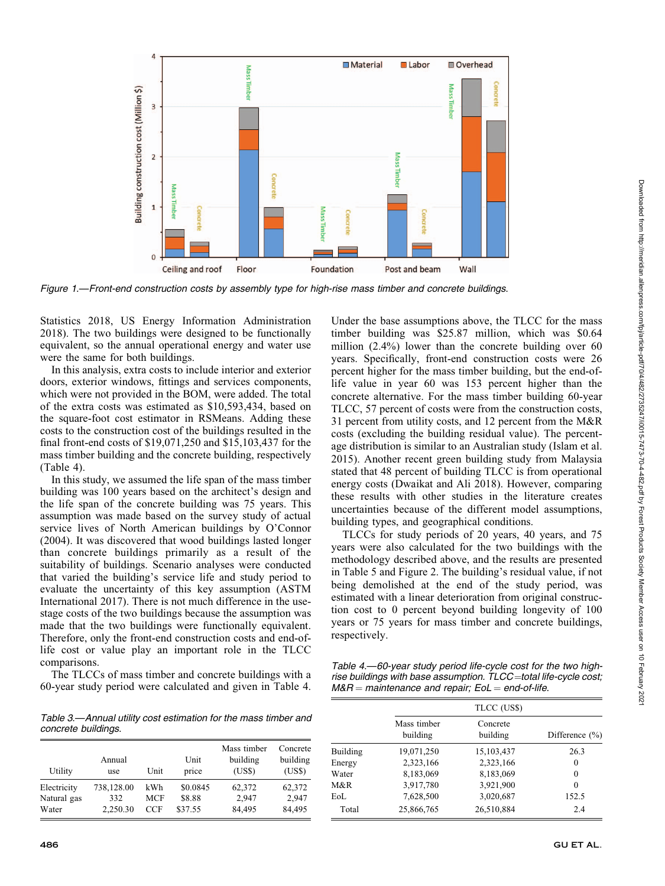

Figure 1.—Front-end construction costs by assembly type for high-rise mass timber and concrete buildings.

Statistics 2018, US Energy Information Administration 2018). The two buildings were designed to be functionally equivalent, so the annual operational energy and water use were the same for both buildings.

In this analysis, extra costs to include interior and exterior doors, exterior windows, fittings and services components, which were not provided in the BOM, were added. The total of the extra costs was estimated as \$10,593,434, based on the square-foot cost estimator in RSMeans. Adding these costs to the construction cost of the buildings resulted in the final front-end costs of \$19,071,250 and \$15,103,437 for the mass timber building and the concrete building, respectively (Table 4).

In this study, we assumed the life span of the mass timber building was 100 years based on the architect's design and the life span of the concrete building was 75 years. This assumption was made based on the survey study of actual service lives of North American buildings by O'Connor (2004). It was discovered that wood buildings lasted longer than concrete buildings primarily as a result of the suitability of buildings. Scenario analyses were conducted that varied the building's service life and study period to evaluate the uncertainty of this key assumption (ASTM International 2017). There is not much difference in the usestage costs of the two buildings because the assumption was made that the two buildings were functionally equivalent. Therefore, only the front-end construction costs and end-oflife cost or value play an important role in the TLCC comparisons.

The TLCCs of mass timber and concrete buildings with a 60-year study period were calculated and given in Table 4.

Under the base assumptions above, the TLCC for the mass timber building was \$25.87 million, which was \$0.64 million (2.4%) lower than the concrete building over 60 years. Specifically, front-end construction costs were 26 percent higher for the mass timber building, but the end-oflife value in year 60 was 153 percent higher than the concrete alternative. For the mass timber building 60-year TLCC, 57 percent of costs were from the construction costs, 31 percent from utility costs, and 12 percent from the M&R costs (excluding the building residual value). The percentage distribution is similar to an Australian study (Islam et al. 2015). Another recent green building study from Malaysia stated that 48 percent of building TLCC is from operational energy costs (Dwaikat and Ali 2018). However, comparing these results with other studies in the literature creates uncertainties because of the different model assumptions, building types, and geographical conditions.

TLCCs for study periods of 20 years, 40 years, and 75 years were also calculated for the two buildings with the methodology described above, and the results are presented in Table 5 and Figure 2. The building's residual value, if not being demolished at the end of the study period, was estimated with a linear deterioration from original construction cost to 0 percent beyond building longevity of 100 years or 75 years for mass timber and concrete buildings, respectively.

Table 4.—60-year study period life-cycle cost for the two highrise buildings with base assumption.  $TLCC = total$  life-cycle cost;  $M&R =$  maintenance and repair; EoL = end-of-life.

| Table 3.—Annual utility cost estimation for the mass timber and |  |
|-----------------------------------------------------------------|--|
| concrete buildings.                                             |  |

| Utility     | Annual<br>use | Unit       | Unit<br>price | Mass timber<br>building<br>(USS) | Concrete<br>building<br>(USS) |
|-------------|---------------|------------|---------------|----------------------------------|-------------------------------|
| Electricity | 738,128.00    | kWh        | \$0.0845      | 62,372                           | 62,372                        |
| Natural gas | 332           | <b>MCF</b> | \$8.88        | 2.947                            | 2.947                         |
| Water       | 2,250.30      | CCF        | \$37.55       | 84,495                           | 84,495                        |

|          | TLCC (US\$)             |                      |                    |  |  |  |
|----------|-------------------------|----------------------|--------------------|--|--|--|
|          | Mass timber<br>building | Concrete<br>building | Difference $(\% )$ |  |  |  |
| Building | 19,071,250              | 15, 103, 437         | 26.3               |  |  |  |
| Energy   | 2,323,166               | 2,323,166            | $\theta$           |  |  |  |
| Water    | 8,183,069               | 8,183,069            | 0                  |  |  |  |
| M&R      | 3,917,780               | 3,921,900            | $\theta$           |  |  |  |
| EoL      | 7,628,500               | 3,020,687            | 152.5              |  |  |  |
| Total    | 25,866,765              | 26,510,884           | 2.4                |  |  |  |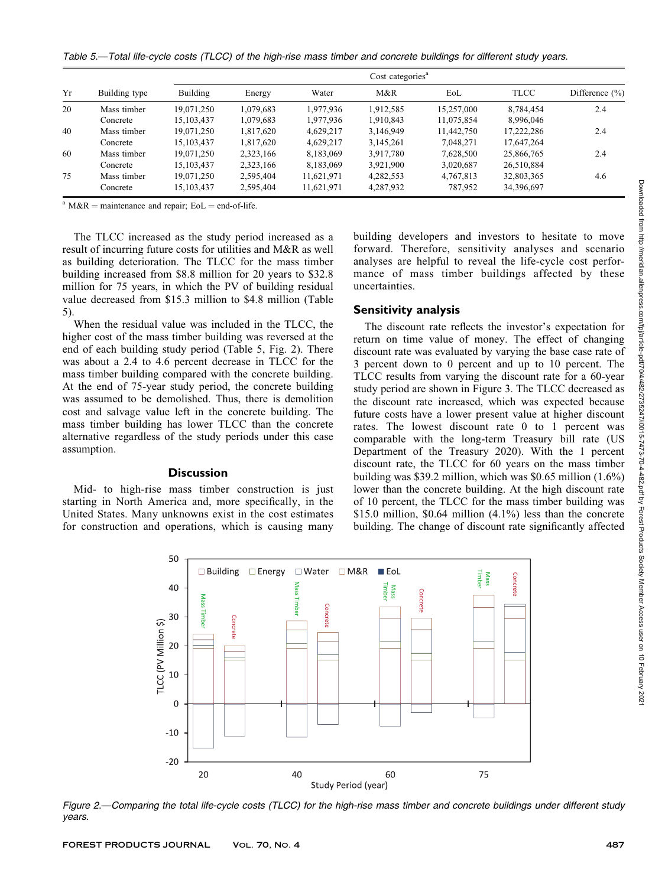Table 5.—Total life-cycle costs (TLCC) of the high-rise mass timber and concrete buildings for different study years.

|    | Building type | Cost categories <sup>a</sup> |           |            |           |            |             |                    |
|----|---------------|------------------------------|-----------|------------|-----------|------------|-------------|--------------------|
| Yr |               | Building                     | Energy    | Water      | M&R       | EoL        | <b>TLCC</b> | Difference $(\% )$ |
| 20 | Mass timber   | 19.071.250                   | 1,079,683 | 1,977,936  | 1.912.585 | 15,257,000 | 8.784.454   | 2.4                |
|    | Concrete      | 15, 103, 437                 | 1,079,683 | 1,977,936  | 1.910.843 | 11,075,854 | 8,996,046   |                    |
| 40 | Mass timber   | 19,071,250                   | 1,817,620 | 4,629,217  | 3,146,949 | 11.442.750 | 17.222.286  | 2.4                |
|    | Concrete      | 15, 103, 437                 | 1,817,620 | 4,629,217  | 3,145,261 | 7,048,271  | 17,647,264  |                    |
| 60 | Mass timber   | 19.071.250                   | 2.323.166 | 8,183,069  | 3.917.780 | 7,628,500  | 25,866,765  | 2.4                |
|    | Concrete      | 15, 103, 437                 | 2,323,166 | 8,183,069  | 3,921,900 | 3,020,687  | 26,510,884  |                    |
| 75 | Mass timber   | 19,071,250                   | 2,595,404 | 11,621,971 | 4,282,553 | 4,767,813  | 32,803,365  | 4.6                |
|    | Concrete      | 15, 103, 437                 | 2,595,404 | 11,621,971 | 4,287,932 | 787,952    | 34,396,697  |                    |

 $a^{a}$  M&R = maintenance and repair; EoL = end-of-life.

The TLCC increased as the study period increased as a result of incurring future costs for utilities and M&R as well as building deterioration. The TLCC for the mass timber building increased from \$8.8 million for 20 years to \$32.8 million for 75 years, in which the PV of building residual value decreased from \$15.3 million to \$4.8 million (Table 5).

When the residual value was included in the TLCC, the higher cost of the mass timber building was reversed at the end of each building study period (Table 5, Fig. 2). There was about a 2.4 to 4.6 percent decrease in TLCC for the mass timber building compared with the concrete building. At the end of 75-year study period, the concrete building was assumed to be demolished. Thus, there is demolition cost and salvage value left in the concrete building. The mass timber building has lower TLCC than the concrete alternative regardless of the study periods under this case assumption.

#### **Discussion**

Mid- to high-rise mass timber construction is just starting in North America and, more specifically, in the United States. Many unknowns exist in the cost estimates for construction and operations, which is causing many

building developers and investors to hesitate to move forward. Therefore, sensitivity analyses and scenario analyses are helpful to reveal the life-cycle cost performance of mass timber buildings affected by these uncertainties.

#### Sensitivity analysis

The discount rate reflects the investor's expectation for return on time value of money. The effect of changing discount rate was evaluated by varying the base case rate of 3 percent down to 0 percent and up to 10 percent. The TLCC results from varying the discount rate for a 60-year study period are shown in Figure 3. The TLCC decreased as the discount rate increased, which was expected because future costs have a lower present value at higher discount rates. The lowest discount rate 0 to 1 percent was comparable with the long-term Treasury bill rate (US Department of the Treasury 2020). With the 1 percent discount rate, the TLCC for 60 years on the mass timber building was \$39.2 million, which was \$0.65 million (1.6%) lower than the concrete building. At the high discount rate of 10 percent, the TLCC for the mass timber building was \$15.0 million, \$0.64 million (4.1%) less than the concrete building. The change of discount rate significantly affected



Figure 2.—Comparing the total life-cycle costs (TLCC) for the high-rise mass timber and concrete buildings under different study years.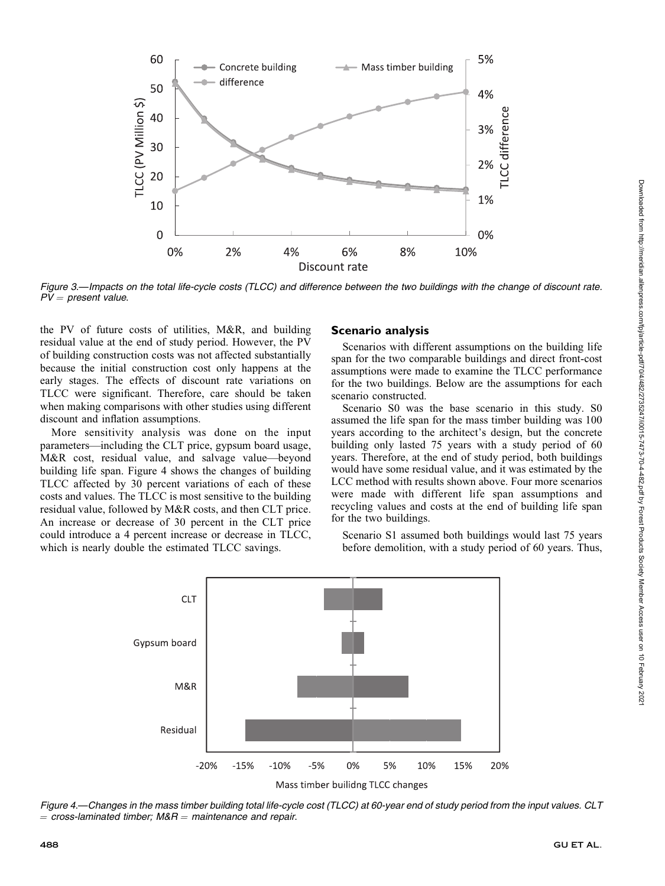

Figure 3.—Impacts on the total life-cycle costs (TLCC) and difference between the two buildings with the change of discount rate.  $PV = present value.$ 

the PV of future costs of utilities, M&R, and building residual value at the end of study period. However, the PV of building construction costs was not affected substantially because the initial construction cost only happens at the early stages. The effects of discount rate variations on TLCC were significant. Therefore, care should be taken when making comparisons with other studies using different discount and inflation assumptions.

More sensitivity analysis was done on the input parameters—including the CLT price, gypsum board usage, M&R cost, residual value, and salvage value—beyond building life span. Figure 4 shows the changes of building TLCC affected by 30 percent variations of each of these costs and values. The TLCC is most sensitive to the building residual value, followed by M&R costs, and then CLT price. An increase or decrease of 30 percent in the CLT price could introduce a 4 percent increase or decrease in TLCC, which is nearly double the estimated TLCC savings.

# Scenario analysis

Scenarios with different assumptions on the building life span for the two comparable buildings and direct front-cost assumptions were made to examine the TLCC performance for the two buildings. Below are the assumptions for each scenario constructed.

Scenario S0 was the base scenario in this study. S0 assumed the life span for the mass timber building was 100 years according to the architect's design, but the concrete building only lasted 75 years with a study period of 60 years. Therefore, at the end of study period, both buildings would have some residual value, and it was estimated by the LCC method with results shown above. Four more scenarios were made with different life span assumptions and recycling values and costs at the end of building life span for the two buildings.

Scenario S1 assumed both buildings would last 75 years before demolition, with a study period of 60 years. Thus,



Figure 4.—Changes in the mass timber building total life-cycle cost (TLCC) at 60-year end of study period from the input values. CLT  $=$  cross-laminated timber; M&R  $=$  maintenance and repair.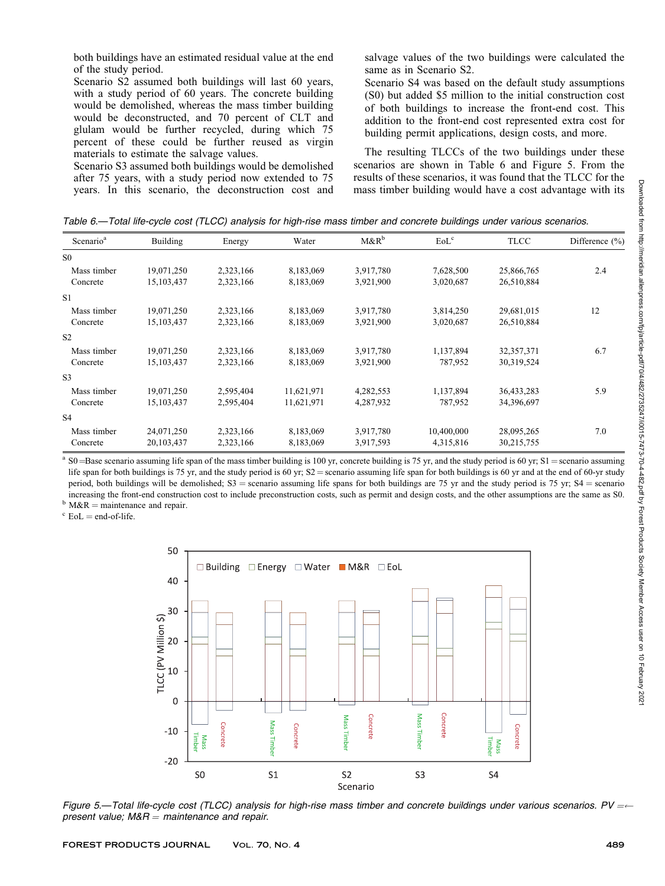both buildings have an estimated residual value at the end of the study period.

Scenario S2 assumed both buildings will last 60 years, with a study period of 60 years. The concrete building would be demolished, whereas the mass timber building would be deconstructed, and 70 percent of CLT and glulam would be further recycled, during which 75 percent of these could be further reused as virgin materials to estimate the salvage values.

Scenario S3 assumed both buildings would be demolished after 75 years, with a study period now extended to 75 years. In this scenario, the deconstruction cost and salvage values of the two buildings were calculated the same as in Scenario S2.

Scenario S4 was based on the default study assumptions (S0) but added \$5 million to the initial construction cost of both buildings to increase the front-end cost. This addition to the front-end cost represented extra cost for building permit applications, design costs, and more.

The resulting TLCCs of the two buildings under these scenarios are shown in Table 6 and Figure 5. From the results of these scenarios, it was found that the TLCC for the mass timber building would have a cost advantage with its

Table 6.—Total life-cycle cost (TLCC) analysis for high-rise mass timber and concrete buildings under various scenarios.

| Scenario <sup>a</sup> | Building     | Energy    | Water      | $M\&R^b$  | EoL <sup>c</sup> | <b>TLCC</b>  | Difference $(\% )$ |
|-----------------------|--------------|-----------|------------|-----------|------------------|--------------|--------------------|
| S <sub>0</sub>        |              |           |            |           |                  |              |                    |
| Mass timber           | 19,071,250   | 2,323,166 | 8,183,069  | 3,917,780 | 7,628,500        | 25,866,765   | 2.4                |
| Concrete              | 15,103,437   | 2,323,166 | 8,183,069  | 3,921,900 | 3,020,687        | 26,510,884   |                    |
| S <sub>1</sub>        |              |           |            |           |                  |              |                    |
| Mass timber           | 19,071,250   | 2,323,166 | 8,183,069  | 3,917,780 | 3,814,250        | 29,681,015   | 12                 |
| Concrete              | 15,103,437   | 2,323,166 | 8,183,069  | 3,921,900 | 3,020,687        | 26,510,884   |                    |
| S <sub>2</sub>        |              |           |            |           |                  |              |                    |
| Mass timber           | 19,071,250   | 2,323,166 | 8,183,069  | 3,917,780 | 1,137,894        | 32, 357, 371 | 6.7                |
| Concrete              | 15, 103, 437 | 2,323,166 | 8,183,069  | 3,921,900 | 787,952          | 30,319,524   |                    |
| S <sub>3</sub>        |              |           |            |           |                  |              |                    |
| Mass timber           | 19,071,250   | 2,595,404 | 11,621,971 | 4,282,553 | 1,137,894        | 36,433,283   | 5.9                |
| Concrete              | 15, 103, 437 | 2,595,404 | 11,621,971 | 4,287,932 | 787,952          | 34,396,697   |                    |
| <b>S4</b>             |              |           |            |           |                  |              |                    |
| Mass timber           | 24,071,250   | 2,323,166 | 8,183,069  | 3,917,780 | 10,400,000       | 28,095,265   | 7.0                |
| Concrete              | 20,103,437   | 2,323,166 | 8,183,069  | 3,917,593 | 4,315,816        | 30,215,755   |                    |

<sup>a</sup> S0 = Base scenario assuming life span of the mass timber building is 100 yr, concrete building is 75 yr, and the study period is 60 yr; S1 = scenario assuming life span for both buildings is 75 yr, and the study period is 60 yr;  $S2$  = scenario assuming life span for both buildings is 60 yr and at the end of 60-yr study period, both buildings will be demolished; S3 = scenario assuming life spans for both buildings are 75 yr and the study period is 75 yr; S4 = scenario increasing the front-end construction cost to include preconstruction costs, such as permit and design costs, and the other assumptions are the same as S0.

 $b$  M&R = maintenance and repair.<br><sup>c</sup> EoL = end-of-life.



Figure 5.—Total life-cycle cost (TLCC) analysis for high-rise mass timber and concrete buildings under various scenarios. PV = $\leftarrow$ present value;  $M&R =$  maintenance and repair.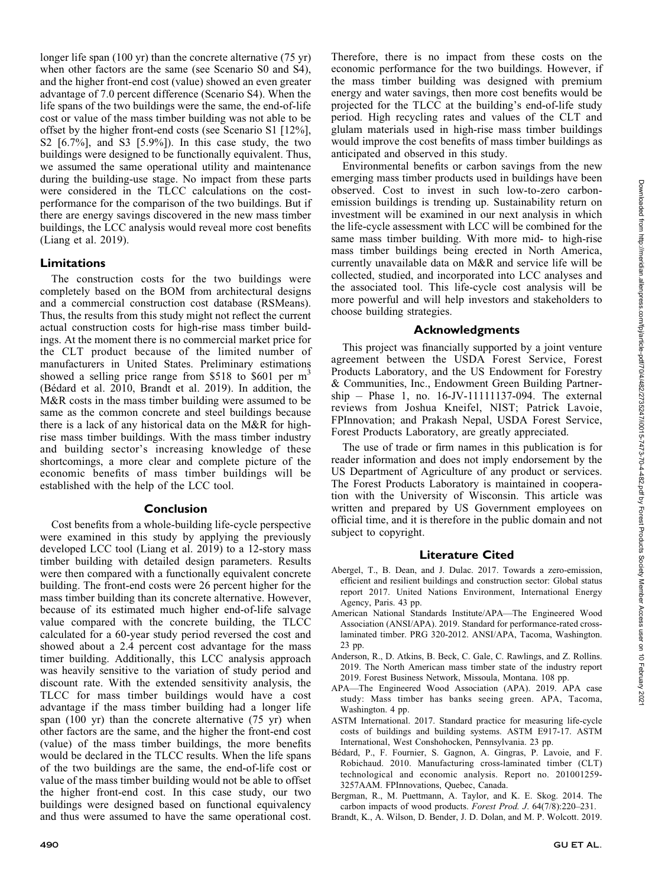longer life span (100 yr) than the concrete alternative (75 yr) when other factors are the same (see Scenario S0 and S4), and the higher front-end cost (value) showed an even greater advantage of 7.0 percent difference (Scenario S4). When the life spans of the two buildings were the same, the end-of-life cost or value of the mass timber building was not able to be offset by the higher front-end costs (see Scenario S1 [12%], S2 [6.7%], and S3 [5.9%]). In this case study, the two buildings were designed to be functionally equivalent. Thus, we assumed the same operational utility and maintenance during the building-use stage. No impact from these parts were considered in the TLCC calculations on the costperformance for the comparison of the two buildings. But if there are energy savings discovered in the new mass timber buildings, the LCC analysis would reveal more cost benefits (Liang et al. 2019).

#### Limitations

The construction costs for the two buildings were completely based on the BOM from architectural designs and a commercial construction cost database (RSMeans). Thus, the results from this study might not reflect the current actual construction costs for high-rise mass timber buildings. At the moment there is no commercial market price for the CLT product because of the limited number of manufacturers in United States. Preliminary estimations showed a selling price range from \$518 to \$601 per  $m<sup>3</sup>$ (Bédard et al. 2010, Brandt et al. 2019). In addition, the M&R costs in the mass timber building were assumed to be same as the common concrete and steel buildings because there is a lack of any historical data on the M&R for highrise mass timber buildings. With the mass timber industry and building sector's increasing knowledge of these shortcomings, a more clear and complete picture of the economic benefits of mass timber buildings will be established with the help of the LCC tool.

#### Conclusion

Cost benefits from a whole-building life-cycle perspective were examined in this study by applying the previously developed LCC tool (Liang et al. 2019) to a 12-story mass timber building with detailed design parameters. Results were then compared with a functionally equivalent concrete building. The front-end costs were 26 percent higher for the mass timber building than its concrete alternative. However, because of its estimated much higher end-of-life salvage value compared with the concrete building, the TLCC calculated for a 60-year study period reversed the cost and showed about a 2.4 percent cost advantage for the mass timer building. Additionally, this LCC analysis approach was heavily sensitive to the variation of study period and discount rate. With the extended sensitivity analysis, the TLCC for mass timber buildings would have a cost advantage if the mass timber building had a longer life span (100 yr) than the concrete alternative (75 yr) when other factors are the same, and the higher the front-end cost (value) of the mass timber buildings, the more benefits would be declared in the TLCC results. When the life spans of the two buildings are the same, the end-of-life cost or value of the mass timber building would not be able to offset the higher front-end cost. In this case study, our two buildings were designed based on functional equivalency and thus were assumed to have the same operational cost.

Therefore, there is no impact from these costs on the economic performance for the two buildings. However, if the mass timber building was designed with premium energy and water savings, then more cost benefits would be projected for the TLCC at the building's end-of-life study period. High recycling rates and values of the CLT and glulam materials used in high-rise mass timber buildings would improve the cost benefits of mass timber buildings as anticipated and observed in this study.

Environmental benefits or carbon savings from the new emerging mass timber products used in buildings have been observed. Cost to invest in such low-to-zero carbonemission buildings is trending up. Sustainability return on investment will be examined in our next analysis in which the life-cycle assessment with LCC will be combined for the same mass timber building. With more mid- to high-rise mass timber buildings being erected in North America, currently unavailable data on M&R and service life will be collected, studied, and incorporated into LCC analyses and the associated tool. This life-cycle cost analysis will be more powerful and will help investors and stakeholders to choose building strategies.

# Acknowledgments

This project was financially supported by a joint venture agreement between the USDA Forest Service, Forest Products Laboratory, and the US Endowment for Forestry & Communities, Inc., Endowment Green Building Partner $ship$  – Phase 1, no. 16-JV-11111137-094. The external reviews from Joshua Kneifel, NIST; Patrick Lavoie, FPInnovation; and Prakash Nepal, USDA Forest Service, Forest Products Laboratory, are greatly appreciated.

The use of trade or firm names in this publication is for reader information and does not imply endorsement by the US Department of Agriculture of any product or services. The Forest Products Laboratory is maintained in cooperation with the University of Wisconsin. This article was written and prepared by US Government employees on official time, and it is therefore in the public domain and not subject to copyright.

#### Literature Cited

- Abergel, T., B. Dean, and J. Dulac. 2017. Towards a zero-emission, efficient and resilient buildings and construction sector: Global status report 2017. United Nations Environment, International Energy Agency, Paris. 43 pp.
- American National Standards Institute/APA—The Engineered Wood Association (ANSI/APA). 2019. Standard for performance-rated crosslaminated timber. PRG 320-2012. ANSI/APA, Tacoma, Washington. 23 pp.
- Anderson, R., D. Atkins, B. Beck, C. Gale, C. Rawlings, and Z. Rollins. 2019. The North American mass timber state of the industry report 2019. Forest Business Network, Missoula, Montana. 108 pp.
- APA—The Engineered Wood Association (APA). 2019. APA case study: Mass timber has banks seeing green. APA, Tacoma, Washington. 4 pp.
- ASTM International. 2017. Standard practice for measuring life-cycle costs of buildings and building systems. ASTM E917-17. ASTM International, West Conshohocken, Pennsylvania. 23 pp.
- Bédard, P., F. Fournier, S. Gagnon, A. Gingras, P. Lavoie, and F. Robichaud. 2010. Manufacturing cross-laminated timber (CLT) technological and economic analysis. Report no. 201001259- 3257AAM. FPInnovations, Quebec, Canada.
- Bergman, R., M. Puettmann, A. Taylor, and K. E. Skog. 2014. The carbon impacts of wood products. Forest Prod. J. 64(7/8):220–231.
- Brandt, K., A. Wilson, D. Bender, J. D. Dolan, and M. P. Wolcott. 2019.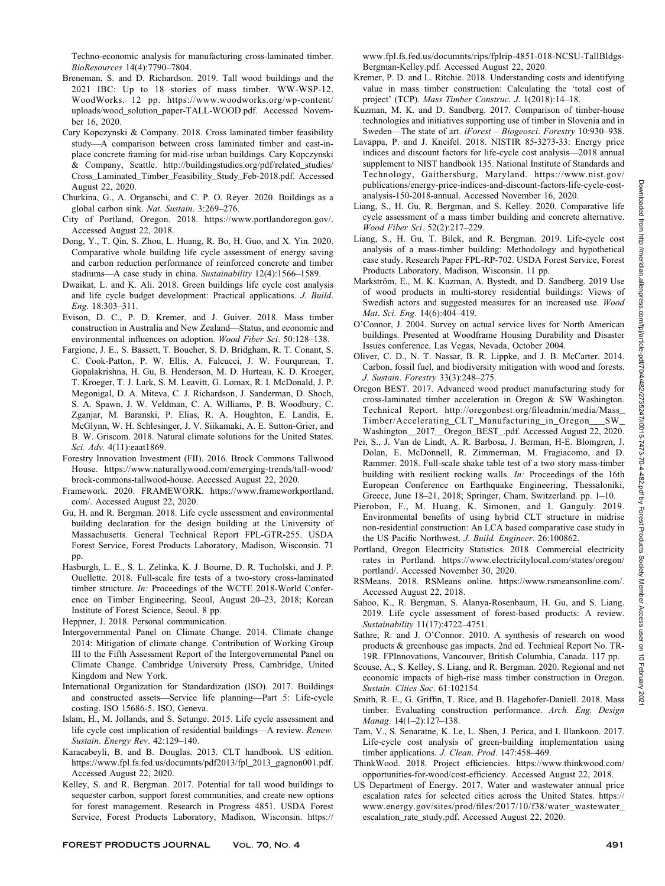Techno-economic analysis for manufacturing cross-laminated timber. BioResources 14(4):7790–7804.

- Breneman, S. and D. Richardson. 2019. Tall wood buildings and the 2021 IBC: Up to 18 stories of mass timber. WW-WSP-12. WoodWorks. 12 pp. <https://www.woodworks.org/wp-content>/ uploads/wood\_solution\_paper-TALL-WOOD.pdf. Accessed November 16, 2020.
- Cary Kopczynski & Company. 2018. Cross laminated timber feasibility study—A comparison between cross laminated timber and cast-inplace concrete framing for mid-rise urban buildings. Cary Kopczynski & Company, Seattle. [http://buildingstudies.org/pdf/related\\_studies/](http://buildingstudies.org/pdf/related_studies) Cross\_Laminated\_Timber\_Feasibility\_Study\_Feb-2018.pdf. Accessed August 22, 2020.
- Churkina, G., A. Organschi, and C. P. O. Reyer. 2020. Buildings as a global carbon sink. Nat. Sustain. 3:269–276.
- City of Portland, Oregon. 2018. <https://www.portlandoregon.gov>/. Accessed August 22, 2018.
- Dong, Y., T. Qin, S. Zhou, L. Huang, R. Bo, H. Guo, and X. Yin. 2020. Comparative whole building life cycle assessment of energy saving and carbon reduction performance of reinforced concrete and timber stadiums—A case study in china. Sustainability 12(4):1566–1589.
- Dwaikat, L. and K. Ali. 2018. Green buildings life cycle cost analysis and life cycle budget development: Practical applications. J. Build. Eng. 18:303–311.
- Evison, D. C., P. D. Kremer, and J. Guiver. 2018. Mass timber construction in Australia and New Zealand—Status, and economic and environmental influences on adoption. Wood Fiber Sci. 50:128–138.
- Fargione, J. E., S. Bassett, T. Boucher, S. D. Bridgham, R. T. Conant, S. C. Cook-Patton, P. W. Ellis, A. Falcucci, J. W. Fourqurean, T. Gopalakrishna, H. Gu, B. Henderson, M. D. Hurteau, K. D. Kroeger, T. Kroeger, T. J. Lark, S. M. Leavitt, G. Lomax, R. I. McDonald, J. P. Megonigal, D. A. Miteva, C. J. Richardson, J. Sanderman, D. Shoch, S. A. Spawn, J. W. Veldman, C. A. Williams, P. B. Woodbury, C. Zganjar, M. Baranski, P. Elias, R. A. Houghton, E. Landis, E. McGlynn, W. H. Schlesinger, J. V. Siikamaki, A. E. Sutton-Grier, and B. W. Griscom. 2018. Natural climate solutions for the United States. Sci. Adv. 4(11):eaat1869.
- Forestry Innovation Investment (FII). 2016. Brock Commons Tallwood House. <https://www.naturallywood.com/emerging-trends/tall-wood>/ brock-commons-tallwood-house. Accessed August 22, 2020.
- Framework. 2020. FRAMEWORK. [https://www.frameworkportland.](https://www.frameworkportland) com/. Accessed August 22, 2020.
- Gu, H. and R. Bergman. 2018. Life cycle assessment and environmental building declaration for the design building at the University of Massachusetts. General Technical Report FPL-GTR-255. USDA Forest Service, Forest Products Laboratory, Madison, Wisconsin. 71 pp.
- Hasburgh, L. E., S. L. Zelinka, K. J. Bourne, D. R. Tucholski, and J. P. Ouellette. 2018. Full-scale fire tests of a two-story cross-laminated timber structure. In: Proceedings of the WCTE 2018-World Conference on Timber Engineering, Seoul, August 20–23, 2018; Korean Institute of Forest Science, Seoul. 8 pp.
- Heppner, J. 2018. Personal communication.
- Intergovernmental Panel on Climate Change. 2014. Climate change 2014: Mitigation of climate change. Contribution of Working Group III to the Fifth Assessment Report of the Intergovernmental Panel on Climate Change. Cambridge University Press, Cambridge, United Kingdom and New York.
- International Organization for Standardization (ISO). 2017. Buildings and constructed assets—Service life planning—Part 5: Life-cycle costing. ISO 15686-5. ISO, Geneva.
- Islam, H., M. Jollands, and S. Setunge. 2015. Life cycle assessment and life cycle cost implication of residential buildings—A review. Renew. Sustain. Energy Rev. 42:129–140.
- Karacabeyli, B. and B. Douglas. 2013. CLT handbook. US edition. [https://www.fpl.fs.fed.us/documnts/pdf2013/fpl\\_2013\\_gagnon001.pdf.](https://www.fpl.fs.fed.us/documnts/pdf2013/fpl_2013_gagnon001.pdf) Accessed August 22, 2020.
- Kelley, S. and R. Bergman. 2017. Potential for tall wood buildings to sequester carbon, support forest communities, and create new options for forest management. Research in Progress 4851. USDA Forest Service, Forest Products Laboratory, Madison, Wisconsin. https://

<www.fpl.fs.fed.us/documnts/rips/fplrip-4851-018-NCSU-TallBldgs>-Bergman-Kelley.pdf. Accessed August 22, 2020.

- Kremer, P. D. and L. Ritchie. 2018. Understanding costs and identifying value in mass timber construction: Calculating the 'total cost of project' (TCP). Mass Timber Construc. J. 1(2018):14-18.
- Kuzman, M. K. and D. Sandberg. 2017. Comparison of timber-house technologies and initiatives supporting use of timber in Slovenia and in Sweden—The state of art. iForest – Biogeosci. Forestry 10:930–938.
- Lavappa, P. and J. Kneifel. 2018. NISTIR 85-3273-33: Energy price indices and discount factors for life-cycle cost analysis—2018 annual supplement to NIST handbook 135. National Institute of Standards and Technology, Gaithersburg, Maryland. <https://www.nist.gov>/ publications/energy-price-indices-and-discount-factors-life-cycle-costanalysis-150-2018-annual. Accessed November 16, 2020.
- Liang, S., H. Gu, R. Bergman, and S. Kelley. 2020. Comparative life cycle assessment of a mass timber building and concrete alternative. Wood Fiber Sci. 52(2):217–229.
- Liang, S., H. Gu, T. Bilek, and R. Bergman. 2019. Life-cycle cost analysis of a mass-timber building: Methodology and hypothetical case study. Research Paper FPL-RP-702. USDA Forest Service, Forest Products Laboratory, Madison, Wisconsin. 11 pp.
- Markström, E., M. K. Kuzman, A. Bystedt, and D. Sandberg. 2019 Use of wood products in multi-storey residential buildings: Views of Swedish actors and suggested measures for an increased use. Wood Mat. Sci. Eng. 14(6):404–419.
- O'Connor, J. 2004. Survey on actual service lives for North American buildings. Presented at Woodframe Housing Durability and Disaster Issues conference, Las Vegas, Nevada, October 2004.
- Oliver, C. D., N. T. Nassar, B. R. Lippke, and J. B. McCarter. 2014. Carbon, fossil fuel, and biodiversity mitigation with wood and forests. J. Sustain. Forestry 33(3):248–275.
- Oregon BEST. 2017. Advanced wood product manufacturing study for cross-laminated timber acceleration in Oregon & SW Washington. Technical Report. [http://oregonbest.org/fileadmin/media/Mass\\_](http://oregonbest.org/fileadmin/media/Mass) Timber/Accelerating\_CLT\_Manufacturing\_in\_Oregon\_\_\_SW\_ Washington\_\_2017\_\_Oregon\_BEST\_.pdf. Accessed August 22, 2020.
- Pei, S., J. Van de Lindt, A. R. Barbosa, J. Berman, H-E. Blomgren, J. Dolan, E. McDonnell, R. Zimmerman, M. Fragiacomo, and D. Rammer. 2018. Full-scale shake table test of a two story mass-timber building with resilient rocking walls. In: Proceedings of the 16th European Conference on Earthquake Engineering, Thessaloniki, Greece, June 18–21, 2018; Springer, Cham, Switzerland. pp. 1–10.
- Pierobon, F., M. Huang, K. Simonen, and I. Ganguly. 2019. Environmental benefits of using hybrid CLT structure in midrise non-residential construction: An LCA based comparative case study in the US Pacific Northwest. J. Build. Engineer. 26:100862.
- Portland, Oregon Electricity Statistics. 2018. Commercial electricity rates in Portland. <https://www.electricitylocal.com/states/oregon>/ portland/. Accessed November 30, 2020.
- RSMeans. 2018. RSMeans online. <https://www.rsmeansonline.com>/. Accessed August 22, 2018.
- Sahoo, K., R. Bergman, S. Alanya-Rosenbaum, H. Gu, and S. Liang. 2019. Life cycle assessment of forest-based products: A review. Sustainability 11(17):4722–4751.
- Sathre, R. and J. O'Connor. 2010. A synthesis of research on wood products & greenhouse gas impacts. 2nd ed. Technical Report No. TR-19R. FPInnovations, Vancouver, British Columbia, Canada. 117 pp.
- Scouse, A., S. Kelley, S. Liang, and R. Bergman. 2020. Regional and net economic impacts of high-rise mass timber construction in Oregon. Sustain. Cities Soc. 61:102154.
- Smith, R. E., G. Griffin, T. Rice, and B. Hagehofer-Daniell. 2018. Mass timber: Evaluating construction performance. Arch. Eng. Design Manag. 14(1–2):127–138.
- Tam, V., S. Senaratne, K. Le, L. Shen, J. Perica, and I. Illankoon. 2017. Life-cycle cost analysis of green-building implementation using timber applications. J. Clean. Prod. 147:458-469.
- ThinkWood. 2018. Project efficiencies. [https://www.thinkwood.com/](https://www.thinkwood.com) opportunities-for-wood/cost-efficiency. Accessed August 22, 2018.
- US Department of Energy. 2017. Water and wastewater annual price escalation rates for selected cities across the United States. https:// [www.energy.gov/sites/prod/files/2017/10/f38/water\\_wastewater](www.energy.gov/sites/prod/files/2017/10/f38/water_wastewater)\_ escalation\_rate\_study.pdf. Accessed August 22, 2020.